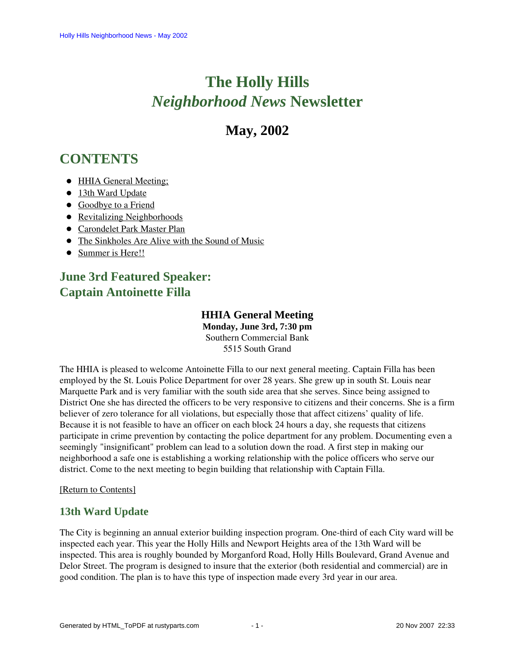# **The Holly Hills**  *Neighborhood News* **Newsletter**

# **May, 2002**

# <span id="page-0-2"></span>**CONTENTS**

- [HHIA General Meeting;](#page-0-0)
- [13th Ward Update](#page-0-1)
- [Goodbye to a Friend](#page-1-0)
- [Revitalizing Neighborhoods](#page-1-1)
- [Carondelet Park Master Plan](#page-2-0)
- [The Sinkholes Are Alive with the Sound of Music](#page-2-1)
- [Summer is Here!!](#page-3-0)

# <span id="page-0-0"></span>**June 3rd Featured Speaker: Captain Antoinette Filla**

## **HHIA General Meeting**

**Monday, June 3rd, 7:30 pm** Southern Commercial Bank 5515 South Grand

The HHIA is pleased to welcome Antoinette Filla to our next general meeting. Captain Filla has been employed by the St. Louis Police Department for over 28 years. She grew up in south St. Louis near Marquette Park and is very familiar with the south side area that she serves. Since being assigned to District One she has directed the officers to be very responsive to citizens and their concerns. She is a firm believer of zero tolerance for all violations, but especially those that affect citizens' quality of life. Because it is not feasible to have an officer on each block 24 hours a day, she requests that citizens participate in crime prevention by contacting the police department for any problem. Documenting even a seemingly "insignificant" problem can lead to a solution down the road. A first step in making our neighborhood a safe one is establishing a working relationship with the police officers who serve our district. Come to the next meeting to begin building that relationship with Captain Filla.

#### [Return to Contents]

### <span id="page-0-1"></span>**13th Ward Update**

The City is beginning an annual exterior building inspection program. One-third of each City ward will be inspected each year. This year the Holly Hills and Newport Heights area of the 13th Ward will be inspected. This area is roughly bounded by Morganford Road, Holly Hills Boulevard, Grand Avenue and Delor Street. The program is designed to insure that the exterior (both residential and commercial) are in good condition. The plan is to have this type of inspection made every 3rd year in our area.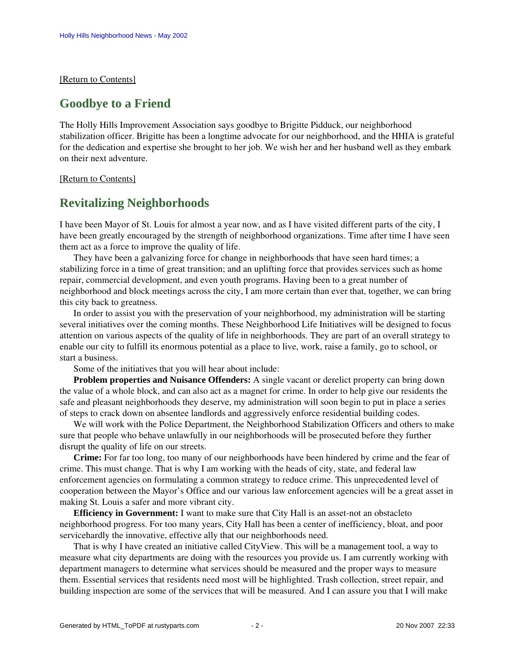#### <span id="page-1-0"></span>[\[Return to Contents\]](#page-0-2)

### **Goodbye to a Friend**

The Holly Hills Improvement Association says goodbye to Brigitte Pidduck, our neighborhood stabilization officer. Brigitte has been a longtime advocate for our neighborhood, and the HHIA is grateful for the dedication and expertise she brought to her job. We wish her and her husband well as they embark on their next adventure.

#### <span id="page-1-1"></span>[\[Return to Contents\]](#page-0-2)

## **Revitalizing Neighborhoods**

I have been Mayor of St. Louis for almost a year now, and as I have visited different parts of the city, I have been greatly encouraged by the strength of neighborhood organizations. Time after time I have seen them act as a force to improve the quality of life.

 They have been a galvanizing force for change in neighborhoods that have seen hard times; a stabilizing force in a time of great transition; and an uplifting force that provides services such as home repair, commercial development, and even youth programs. Having been to a great number of neighborhood and block meetings across the city, I am more certain than ever that, together, we can bring this city back to greatness.

 In order to assist you with the preservation of your neighborhood, my administration will be starting several initiatives over the coming months. These Neighborhood Life Initiatives will be designed to focus attention on various aspects of the quality of life in neighborhoods. They are part of an overall strategy to enable our city to fulfill its enormous potential as a place to live, work, raise a family, go to school, or start a business.

Some of the initiatives that you will hear about include:

 **Problem properties and Nuisance Offenders:** A single vacant or derelict property can bring down the value of a whole block, and can also act as a magnet for crime. In order to help give our residents the safe and pleasant neighborhoods they deserve, my administration will soon begin to put in place a series of steps to crack down on absentee landlords and aggressively enforce residential building codes.

 We will work with the Police Department, the Neighborhood Stabilization Officers and others to make sure that people who behave unlawfully in our neighborhoods will be prosecuted before they further disrupt the quality of life on our streets.

 **Crime:** For far too long, too many of our neighborhoods have been hindered by crime and the fear of crime. This must change. That is why I am working with the heads of city, state, and federal law enforcement agencies on formulating a common strategy to reduce crime. This unprecedented level of cooperation between the Mayor's Office and our various law enforcement agencies will be a great asset in making St. Louis a safer and more vibrant city.

 **Efficiency in Government:** I want to make sure that City Hall is an asset-not an obstacleto neighborhood progress. For too many years, City Hall has been a center of inefficiency, bloat, and poor servicehardly the innovative, effective ally that our neighborhoods need.

 That is why I have created an initiative called CityView. This will be a management tool, a way to measure what city departments are doing with the resources you provide us. I am currently working with department managers to determine what services should be measured and the proper ways to measure them. Essential services that residents need most will be highlighted. Trash collection, street repair, and building inspection are some of the services that will be measured. And I can assure you that I will make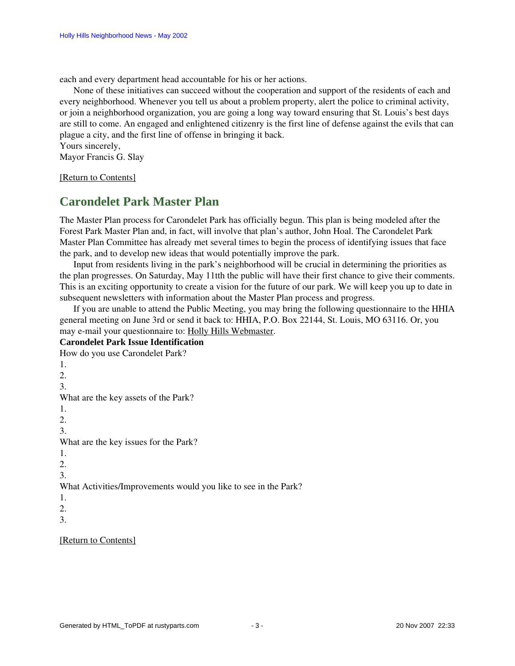each and every department head accountable for his or her actions.

 None of these initiatives can succeed without the cooperation and support of the residents of each and every neighborhood. Whenever you tell us about a problem property, alert the police to criminal activity, or join a neighborhood organization, you are going a long way toward ensuring that St. Louis's best days are still to come. An engaged and enlightened citizenry is the first line of defense against the evils that can plague a city, and the first line of offense in bringing it back.

Yours sincerely,

Mayor Francis G. Slay

<span id="page-2-0"></span>[\[Return to Contents\]](#page-0-2)

# **Carondelet Park Master Plan**

The Master Plan process for Carondelet Park has officially begun. This plan is being modeled after the Forest Park Master Plan and, in fact, will involve that plan's author, John Hoal. The Carondelet Park Master Plan Committee has already met several times to begin the process of identifying issues that face the park, and to develop new ideas that would potentially improve the park.

 Input from residents living in the park's neighborhood will be crucial in determining the priorities as the plan progresses. On Saturday, May 11tth the public will have their first chance to give their comments. This is an exciting opportunity to create a vision for the future of our park. We will keep you up to date in subsequent newsletters with information about the Master Plan process and progress.

 If you are unable to attend the Public Meeting, you may bring the following questionnaire to the HHIA general meeting on June 3rd or send it back to: HHIA, P.O. Box 22144, St. Louis, MO 63116. Or, you may e-mail your questionnaire to: Holly Hills Webmaster.

#### **Carondelet Park Issue Identification**

How do you use Carondelet Park? 1.  $2^{\circ}$ 3. What are the key assets of the Park? 1. 2. 3. What are the key issues for the Park? 1. 2. 3. What Activities/Improvements would you like to see in the Park? 1. 2. 3.

<span id="page-2-1"></span>[\[Return to Contents\]](#page-0-2)